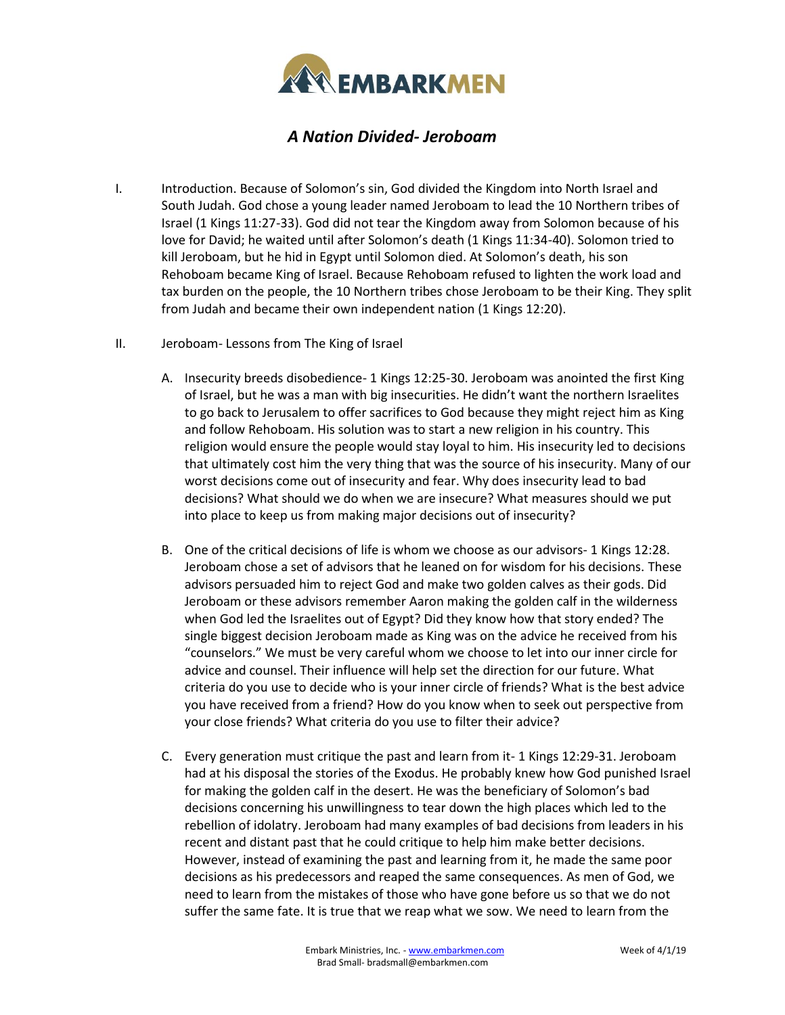

## *A Nation Divided- Jeroboam*

- I. Introduction. Because of Solomon's sin, God divided the Kingdom into North Israel and South Judah. God chose a young leader named Jeroboam to lead the 10 Northern tribes of Israel (1 Kings 11:27-33). God did not tear the Kingdom away from Solomon because of his love for David; he waited until after Solomon's death (1 Kings 11:34-40). Solomon tried to kill Jeroboam, but he hid in Egypt until Solomon died. At Solomon's death, his son Rehoboam became King of Israel. Because Rehoboam refused to lighten the work load and tax burden on the people, the 10 Northern tribes chose Jeroboam to be their King. They split from Judah and became their own independent nation (1 Kings 12:20).
- II. Jeroboam- Lessons from The King of Israel
	- A. Insecurity breeds disobedience- 1 Kings 12:25-30. Jeroboam was anointed the first King of Israel, but he was a man with big insecurities. He didn't want the northern Israelites to go back to Jerusalem to offer sacrifices to God because they might reject him as King and follow Rehoboam. His solution was to start a new religion in his country. This religion would ensure the people would stay loyal to him. His insecurity led to decisions that ultimately cost him the very thing that was the source of his insecurity. Many of our worst decisions come out of insecurity and fear. Why does insecurity lead to bad decisions? What should we do when we are insecure? What measures should we put into place to keep us from making major decisions out of insecurity?
	- B. One of the critical decisions of life is whom we choose as our advisors- 1 Kings 12:28. Jeroboam chose a set of advisors that he leaned on for wisdom for his decisions. These advisors persuaded him to reject God and make two golden calves as their gods. Did Jeroboam or these advisors remember Aaron making the golden calf in the wilderness when God led the Israelites out of Egypt? Did they know how that story ended? The single biggest decision Jeroboam made as King was on the advice he received from his "counselors." We must be very careful whom we choose to let into our inner circle for advice and counsel. Their influence will help set the direction for our future. What criteria do you use to decide who is your inner circle of friends? What is the best advice you have received from a friend? How do you know when to seek out perspective from your close friends? What criteria do you use to filter their advice?
	- C. Every generation must critique the past and learn from it- 1 Kings 12:29-31. Jeroboam had at his disposal the stories of the Exodus. He probably knew how God punished Israel for making the golden calf in the desert. He was the beneficiary of Solomon's bad decisions concerning his unwillingness to tear down the high places which led to the rebellion of idolatry. Jeroboam had many examples of bad decisions from leaders in his recent and distant past that he could critique to help him make better decisions. However, instead of examining the past and learning from it, he made the same poor decisions as his predecessors and reaped the same consequences. As men of God, we need to learn from the mistakes of those who have gone before us so that we do not suffer the same fate. It is true that we reap what we sow. We need to learn from the